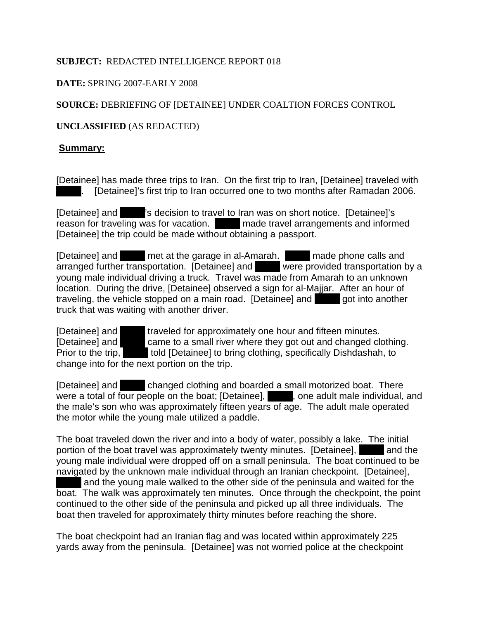### **SUBJECT:** REDACTED INTELLIGENCE REPORT 018

## **DATE:** SPRING 2007-EARLY 2008

# **SOURCE:** DEBRIEFING OF [DETAINEE] UNDER COALTION FORCES CONTROL

# **UNCLASSIFIED** (AS REDACTED)

### **Summary:**

[Detainee] has made three trips to Iran. On the first trip to Iran, [Detainee] traveled with [Detainee]'s first trip to Iran occurred one to two months after Ramadan 2006.

[Detainee] and XXX: Solicision to travel to Iran was on short notice. [Detainee]'s reason for traveling was for vacation. The made travel arrangements and informed [Detainee] the trip could be made without obtaining a passport.

[Detainee] and XXX met at the garage in al-Amarah. XXX made phone calls and arranged further transportation. [Detainee] and Vere provided transportation by a young male individual driving a truck. Travel was made from Amarah to an unknown location. During the drive, [Detainee] observed a sign for al-Majjar. After an hour of traveling, the vehicle stopped on a main road. [Detainee] and  $\Box$  got into another truck that was waiting with another driver.

[Detainee] and **XXX** traveled for approximately one hour and fifteen minutes. [Detainee] and  $\blacksquare$  came to a small river where they got out and changed clothing. Prior to the trip,  $\blacksquare$  told [Detainee] to bring clothing, specifically Dishdashah, to change into for the next portion on the trip.

[Detainee] and  $\blacksquare$  changed clothing and boarded a small motorized boat. There were a total of four people on the boat; [Detainee],  $\blacksquare$ , one adult male individual, and the male's son who was approximately fifteen years of age. The adult male operated the motor while the young male utilized a paddle.

The boat traveled down the river and into a body of water, possibly a lake. The initial portion of the boat travel was approximately twenty minutes. [Detainee], and the young male individual were dropped off on a small peninsula. The boat continued to be navigated by the unknown male individual through an Iranian checkpoint. [Detainee], and the young male walked to the other side of the peninsula and waited for the boat. The walk was approximately ten minutes. Once through the checkpoint, the point continued to the other side of the peninsula and picked up all three individuals. The boat then traveled for approximately thirty minutes before reaching the shore.

The boat checkpoint had an Iranian flag and was located within approximately 225 yards away from the peninsula. [Detainee] was not worried police at the checkpoint